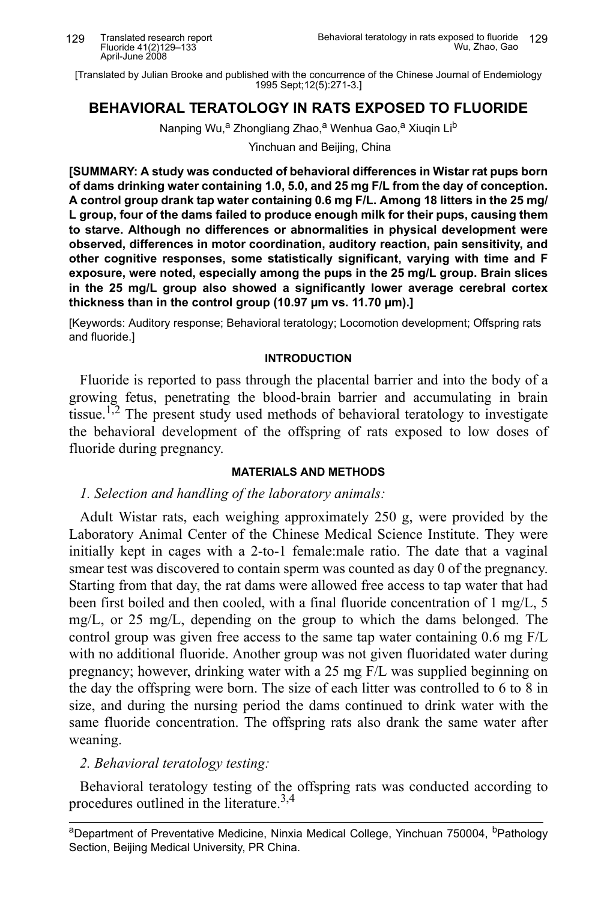[Translated by Julian Brooke and published with the concurrence of the Chinese Journal of Endemiology 1995 Sept: 12(5): 271-3.1

# **BEHAVIORAL TERATOLOGY IN RATS EXPOSED TO FLUORIDE**

Nanping Wu,<sup>a</sup> Zhongliang Zhao,<sup>a</sup> Wenhua Gao,<sup>a</sup> Xiugin Li<sup>b</sup>

Yinchuan and Beijing, China

[SUMMARY: A study was conducted of behavioral differences in Wistar rat pups born of dams drinking water containing 1.0, 5.0, and 25 mg F/L from the day of conception. A control group drank tap water containing 0.6 mg F/L. Among 18 litters in the 25 mg/ L group, four of the dams failed to produce enough milk for their pups, causing them to starve. Although no differences or abnormalities in physical development were observed, differences in motor coordination, auditory reaction, pain sensitivity, and other cognitive responses, some statistically significant, varying with time and F exposure, were noted, especially among the pups in the 25 mg/L group. Brain slices in the 25 mg/L group also showed a significantly lower average cerebral cortex thickness than in the control group (10.97 µm vs. 11.70 µm).]

[Keywords: Auditory response; Behavioral teratology; Locomotion development; Offspring rats and fluoride.]

### **INTRODUCTION**

Fluoride is reported to pass through the placental barrier and into the body of a growing fetus, penetrating the blood-brain barrier and accumulating in brain tissue.<sup>1,2</sup> The present study used methods of behavioral teratology to investigate the behavioral development of the offspring of rats exposed to low doses of fluoride during pregnancy.

### **MATERIALS AND METHODS**

## 1. Selection and handling of the laboratory animals:

Adult Wistar rats, each weighing approximately 250 g, were provided by the Laboratory Animal Center of the Chinese Medical Science Institute. They were initially kept in cages with a 2-to-1 female:male ratio. The date that a vaginal smear test was discovered to contain sperm was counted as day 0 of the pregnancy. Starting from that day, the rat dams were allowed free access to tap water that had been first boiled and then cooled, with a final fluoride concentration of 1 mg/L, 5  $mg/L$ , or 25 mg/L, depending on the group to which the dams belonged. The control group was given free access to the same tap water containing 0.6 mg F/L with no additional fluoride. Another group was not given fluoridated water during pregnancy; however, drinking water with a 25 mg F/L was supplied beginning on the day the offspring were born. The size of each litter was controlled to 6 to 8 in size, and during the nursing period the dams continued to drink water with the same fluoride concentration. The offspring rats also drank the same water after weaning.

## 2. Behavioral teratology testing:

Behavioral teratology testing of the offspring rats was conducted according to procedures outlined in the literature.<sup>3,4</sup>

aDepartment of Preventative Medicine, Ninxia Medical College, Yinchuan 750004, <sup>b</sup>Pathology Section, Beijing Medical University, PR China.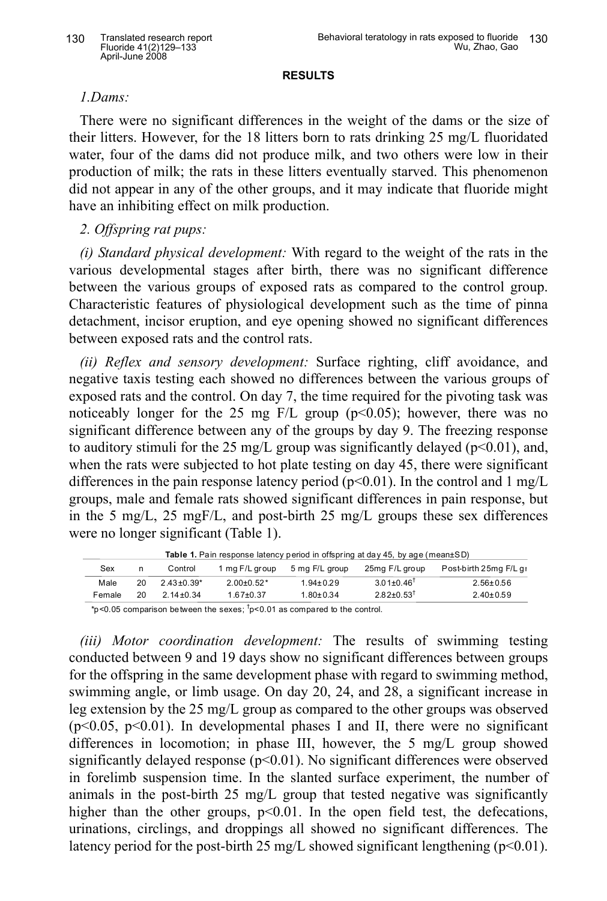**RESULTS**

## *l.Dams:*

There were no significant differences in the weight of the dams or the size of their litters. However, for the 18 litters born to rats drinking 25 mg/L fluoridated water, four of the dams did not produce milk, and two others were low in their production of milk; the rats in these litters eventually starved. This phenomenon did not appear in any of the other groups, and it may indicate that fluoride might have an inhibiting effect on milk production.

# *7" ;ffspring rat pups:*

*(i) Standard physical development:* With regard to the weight of the rats in the various developmental stages after birth, there was no significant difference between the various groups of exposed rats as compared to the control group. Characteristic features of physiological development such as the time of pinna detachment, incisor eruption, and eye opening showed no significant differences between exposed rats and the control rats.

*(ii)* Reflex and sensory *development:* Surface righting, cliff avoidance, and negative taxis testing each showed no differences between the various groups of exposed rats and the control. On day 7, the time required for the pivoting task was noticeably longer for the 25 mg F/L group ( $p<0.05$ ); however, there was no significant difference between any of the groups by day 9. The freezing response to auditory stimuli for the 25 mg/L group was significantly delayed ( $p<0.01$ ), and, when the rats were subjected to hot plate testing on day 45, there were significant differences in the pain response latency period  $(p<0.01)$ . In the control and 1 mg/L groups, male and female rats showed significant differences in pain response, but in the 5 mg/L, 25 mgF/L, and post-birth 25 mg/L groups these sex differences were no longer significant (Table 1).

| Table 1. Pain response latency period in offspring at day 45, by age (mean±SD)                                          |    |                              |                |                 |                              |                        |  |
|-------------------------------------------------------------------------------------------------------------------------|----|------------------------------|----------------|-----------------|------------------------------|------------------------|--|
| Sex                                                                                                                     | n  | Control                      | 1 mg F/L group | 5 mg F/L group  | 25mg F/L group               | Post-birth 25mg F/L qi |  |
| Male                                                                                                                    | 20 | $2.43 \pm 0.39$ <sup>*</sup> | $2.00+0.52*$   | $1.94 \pm 0.29$ | $3.01 \pm 0.46^{\dagger}$    | $2.56 \pm 0.56$        |  |
| Female                                                                                                                  | 20 | $2.14 \pm 0.34$              | $1.67+0.37$    | $1.80 + 0.34$   | $2.82 \pm 0.53$ <sup>†</sup> | $2.40 \pm 0.59$        |  |
| $\frac{1}{2}$ of $\frac{1}{2}$ of a subscription between the second $\frac{1}{2}$ of 04 as a subscription to the second |    |                              |                |                 |                              |                        |  |

\*p<0.05 comparison between the sexes;  $\textsuperscript{t}$  p<0.01 as compared to the control.

*>iii? Motor coordination development:* The results of swimming testing conducted between 9 and 19 days show no significant differences between groups for the offspring in the same development phase with regard to swimming method, swimming angle, or limb usage. On day 20, 24, and 28, a significant increase in leg extension by the 25 mg/L group as compared to the other groups was observed ( $p<0.05$ ,  $p<0.01$ ). In developmental phases I and II, there were no significant differences in locomotion; in phase III, however, the 5 mg/L group showed significantly delayed response  $(p<0.01)$ . No significant differences were observed in forelimb suspension time. In the slanted surface experiment, the number of animals in the post-birth 25 mg/L group that tested negative was significantly higher than the other groups,  $p<0.01$ . In the open field test, the defecations, urinations, circlings, and droppings all showed no significant differences. The latency period for the post-birth 25 mg/L showed significant lengthening  $(p<0.01)$ .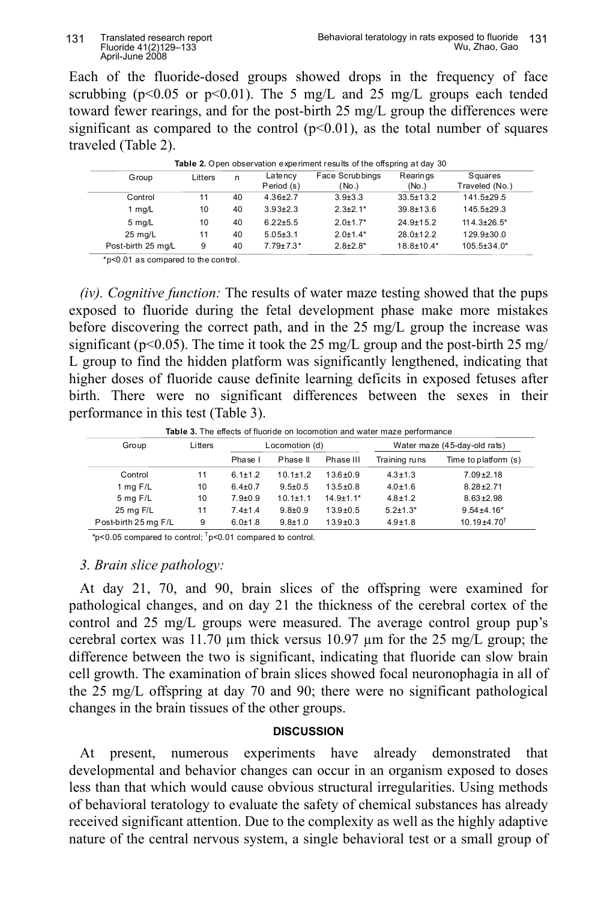Each of the fluoride-dosed groups showed drops in the frequency of face scrubbing ( $p<0.05$  or  $p<0.01$ ). The 5 mg/L and 25 mg/L groups each tended toward fewer rearings, and for the post-birth 25 mg/L group the differences were significant as compared to the control  $(p<0.01)$ , as the total number of squares traveled (Table 2).

| <b>Table 2.</b> Open observation experiment results of the offspring at day 30 |         |    |                       |                          |                   |                           |  |
|--------------------------------------------------------------------------------|---------|----|-----------------------|--------------------------|-------------------|---------------------------|--|
| Group                                                                          | Litters | n  | Latency<br>Period (s) | Face Scrubbings<br>(No.) | Rearings<br>(No.) | Squares<br>Traveled (No.) |  |
| Control                                                                        | 11      | 40 | $4.36 + 2.7$          | $3.9 + 3.3$              | $33.5 + 13.2$     | $141.5 \pm 29.5$          |  |
| 1 mg/L                                                                         | 10      | 40 | $3.93 \pm 2.3$        | $2.3 \pm 2.1*$           | $39.8 + 13.6$     | $145.5 + 29.3$            |  |
| 5 mg/L                                                                         | 10      | 40 | $6.22 + 5.5$          | $2.0 + 1.7*$             | $24.9 + 15.2$     | $114.3 \pm 26.5^*$        |  |
| $25 \text{ mg/L}$                                                              | 11      | 40 | $5.05 \pm 3.1$        | $2.0 \pm 1.4*$           | $28.0 + 12.2$     | $129.9 \pm 30.0$          |  |
| Post-birth 25 mg/L                                                             | 9       | 40 | $7.79 \pm 7.3*$       | $2.8 \pm 2.8$ *          | $18.8 \pm 10.4*$  | 105.5±34.0*               |  |

|  |  | Table 2. Open observation experiment results of the offspring at day 30 |  |  |  |  |
|--|--|-------------------------------------------------------------------------|--|--|--|--|
|--|--|-------------------------------------------------------------------------|--|--|--|--|

\*p<0.01 as compared to the control.

*(iv). Cognitive function:* The results of water maze testing showed that the pups exposed to fluoride during the fetal development phase make more mistakes before discovering the correct path, and in the 25 mg/L group the increase was significant ( $p<0.05$ ). The time it took the 25 mg/L group and the post-birth 25 mg/ L group to find the hidden platform was significantly lengthened, indicating that higher doses of fluoride cause definite learning deficits in exposed fetuses after birth. There were no significant differences between the sexes in their performance in this test (Table 3).

Table 3. The effects of fluoride on locomotion and water maze performance

| Group                | Litters | Locomotion (d) |                |                | Water maze (45-day-old rats) |                            |  |
|----------------------|---------|----------------|----------------|----------------|------------------------------|----------------------------|--|
|                      |         | Phase I        | Phase II       | Phase III      | Training runs                | Time to platform (s)       |  |
| Control              | 11      | $6.1 \pm 1.2$  | $10.1 \pm 1.2$ | $13.6 + 0.9$   | $4.3 + 1.3$                  | $7.09 + 2.18$              |  |
| 1 mg $F/L$           | 10      | $6.4 \pm 0.7$  | $9.5 \pm 0.5$  | $13.5 \pm 0.8$ | $4.0 + 1.6$                  | $8.28 + 2.71$              |  |
| $5$ mg $F/L$         | 10      | $7.9 + 0.9$    | $10.1 + 1.1$   | $14.9 + 1.1*$  | $4.8 + 1.2$                  | $8.63 + 2.98$              |  |
| 25 mg F/L            | 11      | $7.4 + 1.4$    | $9.8 \pm 0.9$  | $13.9 + 0.5$   | $5.2 + 1.3*$                 | $9.54 + 4.16*$             |  |
| Post-birth 25 mg F/L | 9       | $6.0 + 1.8$    | $9.8 + 1.0$    | $13.9 + 0.3$   | $4.9 + 1.8$                  | $10.19{\pm}4.70^{\dagger}$ |  |

\*p<0.05 compared to control;  $\frac{1}{1}$ p<0.01 compared to control.

#### *D" Brain slice pathology:*

At day 21, 70, and 90, brain slices of the offspring were examined for pathological changes, and on day 21 the thickness of the cerebral cortex of the control and 25 mg/L groups were measured. The average control group pup's cerebral cortex was 11.70  $\mu$ m thick versus 10.97  $\mu$ m for the 25 mg/L group; the difference between the two is significant, indicating that fluoride can slow brain cell growth. The examination of brain slices showed focal neuronophagia in all of the 25 mg/L offspring at day 70 and 90; there were no significant pathological changes in the brain tissues of the other groups.

#### **DISCUSSION**

At present, numerous experiments have already demonstrated that developmental and behavior changes can occur in an organism exposed to doses less than that which would cause obvious structural irregularities. Using methods of behavioral teratology to evaluate the safety of chemical substances has already received significant attention. Due to the complexity as well as the highly adaptive nature of the central nervous system, a single behavioral test or a small group of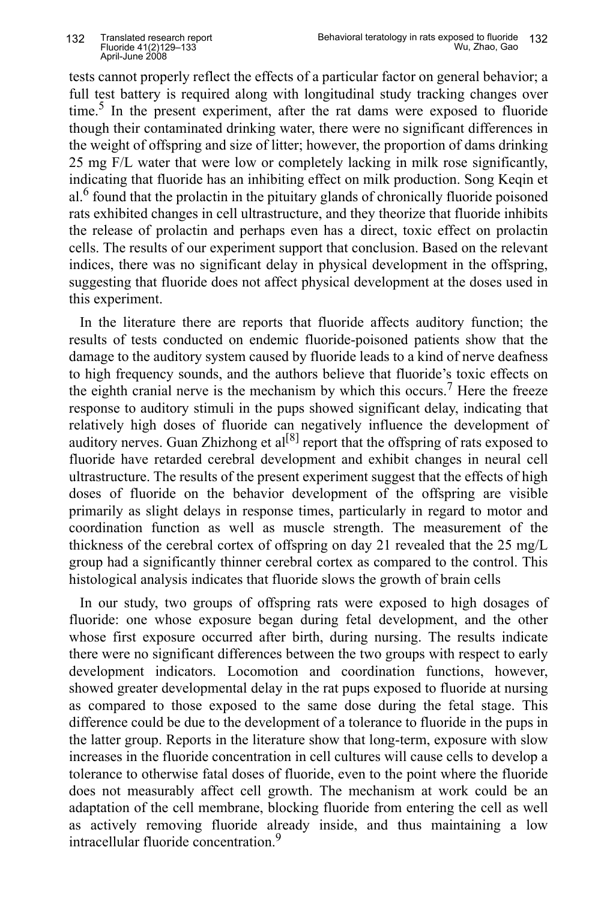tests cannot properly reflect the effects of a particular factor on general behavior; a full test battery is required along with longitudinal study tracking changes over time. <sup>5</sup> In the present experiment, after the rat dams were exposed to fluoride though their contaminated drinking water, there were no significant differences in the weight of offspring and size of litter; however, the proportion of dams drinking 25 mg F/L water that were low or completely lacking in milk rose significantly, indicating that fluoride has an inhibiting effect on milk production. Song Keqin et al.<sup>6</sup> found that the prolactin in the pituitary glands of chronically fluoride poisoned rats exhibited changes in cell ultrastructure, and they theorize that fluoride inhibits the release of prolactin and perhaps even has a direct, toxic effect on prolactin cells. The results of our experiment support that conclusion. Based on the relevant indices, there was no significant delay in physical development in the offspring, suggesting that fluoride does not affect physical development at the doses used in this experiment.

In the literature there are reports that fluoride affects auditory function; the results of tests conducted on endemic fluoride-poisoned patients show that the damage to the auditory system caused by fluoride leads to a kind of nerve deafness to high frequency sounds, and the authors believe that fluoride's toxic effects on the eighth cranial nerve is the mechanism by which this occurs.<sup>7</sup> Here the freeze response to auditory stimuli in the pups showed significant delay, indicating that relatively high doses of fluoride can negatively influence the development of auditory nerves. Guan Zhizhong et  $al^{[8]}$  report that the offspring of rats exposed to fluoride have retarded cerebral development and exhibit changes in neural cell ultrastructure. The results of the present experiment suggest that the effects of high doses of fluoride on the behavior development of the offspring are visible primarily as slight delays in response times, particularly in regard to motor and coordination function as well as muscle strength. The measurement of the thickness of the cerebral cortex of offspring on day 21 revealed that the 25 mg/L group had a significantly thinner cerebral cortex as compared to the control. This histological analysis indicates that fluoride slows the growth of brain cells

In our study, two groups of offspring rats were exposed to high dosages of fluoride: one whose exposure began during fetal development, and the other whose first exposure occurred after birth, during nursing. The results indicate there were no significant differences between the two groups with respect to early development indicators. Locomotion and coordination functions, however, showed greater developmental delay in the rat pups exposed to fluoride at nursing as compared to those exposed to the same dose during the fetal stage. This difference could be due to the development of a tolerance to fluoride in the pups in the latter group. Reports in the literature show that long-term, exposure with slow increases in the fluoride concentration in cell cultures will cause cells to develop a tolerance to otherwise fatal doses of fluoride, even to the point where the fluoride does not measurably affect cell growth. The mechanism at work could be an adaptation of the cell membrane, blocking fluoride from entering the cell as well as actively removing fluoride already inside, and thus maintaining a low intracellular fluoride concentration. 9